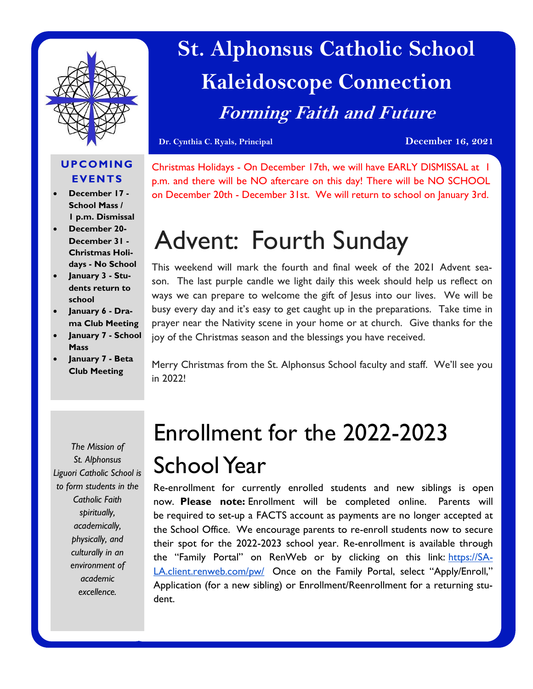

## **St. Alphonsus Catholic School Kaleidoscope Connection Forming Faith and Future**

**Dr. Cynthia C. Ryals, Principal December 16, 2021**

### **UPCOMING EVENTS**

- **December 17 - School Mass / 1 p.m. Dismissal**
- **December 20- December 31 - Christmas Holidays - No School**
- **January 3 - Students return to school**
- **January 6 - Drama Club Meeting**
- **January 7 - School Mass**
- **January 7 - Beta Club Meeting**

Christmas Holidays - On December 17th, we will have EARLY DISMISSAL at 1 p.m. and there will be NO aftercare on this day! There will be NO SCHOOL on December 20th - December 31st. We will return to school on January 3rd.

# Advent: Fourth Sunday

This weekend will mark the fourth and final week of the 2021 Advent season. The last purple candle we light daily this week should help us reflect on ways we can prepare to welcome the gift of Jesus into our lives. We will be busy every day and it's easy to get caught up in the preparations. Take time in prayer near the Nativity scene in your home or at church. Give thanks for the joy of the Christmas season and the blessings you have received.

Merry Christmas from the St. Alphonsus School faculty and staff. We'll see you in 2022!

*The Mission of St. Alphonsus Liguori Catholic School is to form students in the Catholic Faith spiritually, academically, physically, and culturally in an environment of academic excellence.*

## Enrollment for the 2022-2023 School Year

Re-enrollment for currently enrolled students and new siblings is open now. **Please note:** Enrollment will be completed online. Parents will be required to set-up a FACTS account as payments are no longer accepted at the School Office. We encourage parents to re-enroll students now to secure their spot for the 2022-2023 school year. Re-enrollment is available through the "Family Portal" on RenWeb or by clicking on this link: [https://SA-](https://sa-la.client.renweb.com/pw/)[LA.client.renweb.com/pw/](https://sa-la.client.renweb.com/pw/) Once on the Family Portal, select "Apply/Enroll," Application (for a new sibling) or Enrollment/Reenrollment for a returning student.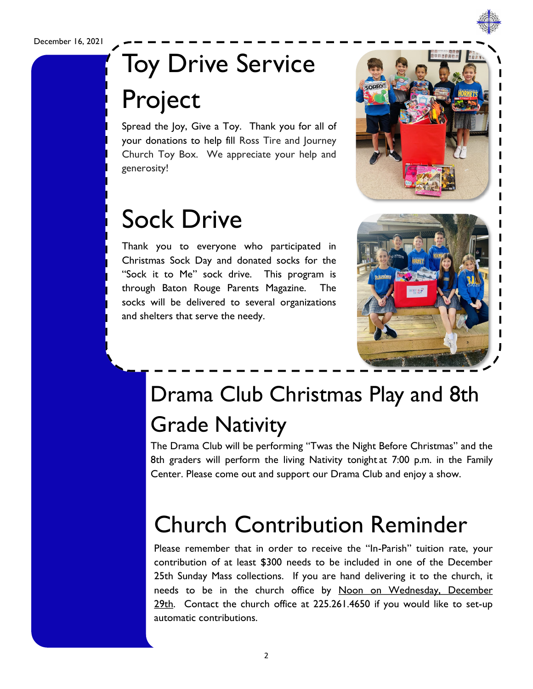December 16, 2021

## Toy Drive Service Project

Spread the Joy, Give a Toy. Thank you for all of your donations to help fill Ross Tire and Journey Church Toy Box. We appreciate your help and generosity!

## Sock Drive

Thank you to everyone who participated in Christmas Sock Day and donated socks for the "Sock it to Me" sock drive. This program is through Baton Rouge Parents Magazine. The socks will be delivered to several organizations and shelters that serve the needy.





## Drama Club Christmas Play and 8th Grade Nativity

The Drama Club will be performing "Twas the Night Before Christmas" and the 8th graders will perform the living Nativity tonight at 7:00 p.m. in the Family Center. Please come out and support our Drama Club and enjoy a show.

## Church Contribution Reminder

Please remember that in order to receive the "In-Parish" tuition rate, your contribution of at least \$300 needs to be included in one of the December 25th Sunday Mass collections. If you are hand delivering it to the church, it needs to be in the church office by Noon on Wednesday, December 29th. Contact the church office at 225.261.4650 if you would like to set-up automatic contributions.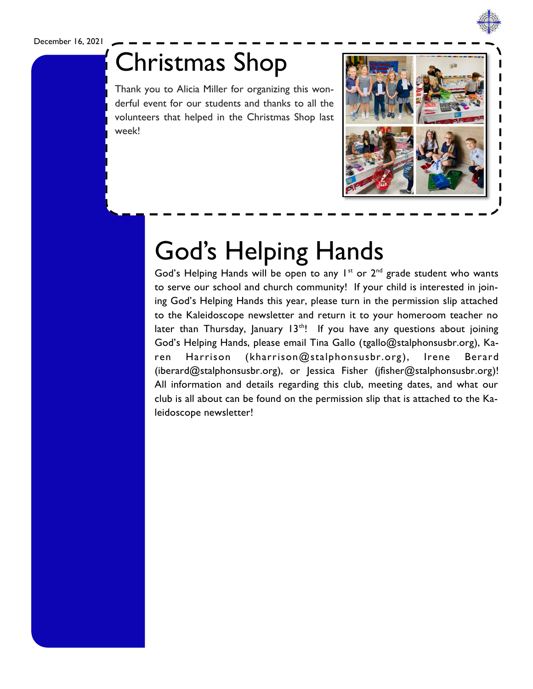### December 16, 2021



Thank you to Alicia Miller for organizing this wonderful event for our students and thanks to all the volunteers that helped in the Christmas Shop last week!



## God's Helping Hands

God's Helping Hands will be open to any  $1^{st}$  or  $2^{nd}$  grade student who wants to serve our school and church community! If your child is interested in joining God's Helping Hands this year, please turn in the permission slip attached to the Kaleidoscope newsletter and return it to your homeroom teacher no later than Thursday, January  $13<sup>th</sup>$ ! If you have any questions about joining God's Helping Hands, please email Tina Gallo ([tgallo@stalphonsusbr.org\),](mailto:tgallo@stalphonsusbr.org) Karen Harrison ([kharrison@stalphonsusbr.org](mailto:kharrison@stalphonsusbr.org)), Irene Berard ([iberard@stalphonsusbr.org\),](mailto:iberard@stalphonsusbr.org) or Jessica Fisher [\(jfisher@stalphonsusbr.org\)!](mailto:jfisher@stalphonsusbr.org) All information and details regarding this club, meeting dates, and what our club is all about can be found on the permission slip that is attached to the Kaleidoscope newsletter!